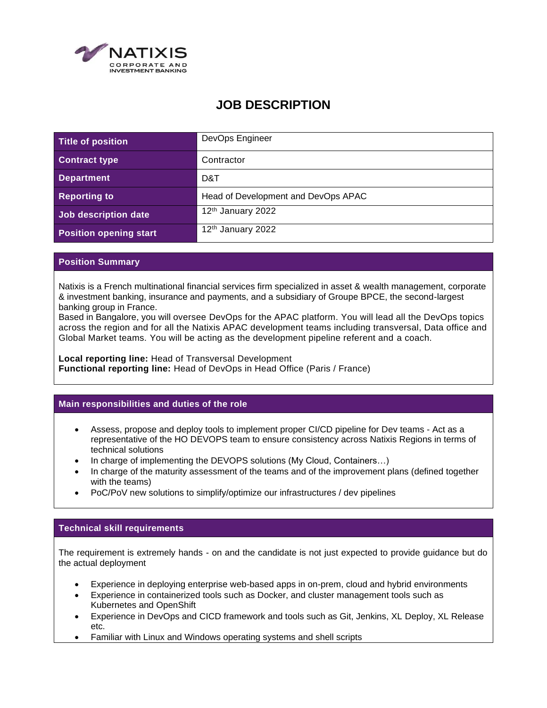

# **JOB DESCRIPTION**

| Title of position             | DevOps Engineer                     |
|-------------------------------|-------------------------------------|
| <b>Contract type</b>          | Contractor                          |
| <b>Department</b>             | D&T                                 |
| <b>Reporting to</b>           | Head of Development and DevOps APAC |
| Job description date          | 12 <sup>th</sup> January 2022       |
| <b>Position opening start</b> | 12 <sup>th</sup> January 2022       |

## **Position Summary**

Natixis is a French multinational financial services firm specialized in asset & wealth management, corporate & investment banking, insurance and payments, and a subsidiary of Groupe BPCE, the second-largest banking group in France.

Based in Bangalore, you will oversee DevOps for the APAC platform. You will lead all the DevOps topics across the region and for all the Natixis APAC development teams including transversal, Data office and Global Market teams. You will be acting as the development pipeline referent and a coach.

**Local reporting line:** Head of Transversal Development **Functional reporting line:** Head of DevOps in Head Office (Paris / France)

#### **Main responsibilities and duties of the role**

- Assess, propose and deploy tools to implement proper CI/CD pipeline for Dev teams Act as a representative of the HO DEVOPS team to ensure consistency across Natixis Regions in terms of technical solutions
- In charge of implementing the DEVOPS solutions (My Cloud, Containers...)
- In charge of the maturity assessment of the teams and of the improvement plans (defined together with the teams)
- PoC/PoV new solutions to simplify/optimize our infrastructures / dev pipelines

# **Technical skill requirements**

The requirement is extremely hands - on and the candidate is not just expected to provide guidance but do the actual deployment

- Experience in deploying enterprise web-based apps in on-prem, cloud and hybrid environments
- Experience in containerized tools such as Docker, and cluster management tools such as Kubernetes and OpenShift
- Experience in DevOps and CICD framework and tools such as Git, Jenkins, XL Deploy, XL Release etc.
- Familiar with Linux and Windows operating systems and shell scripts